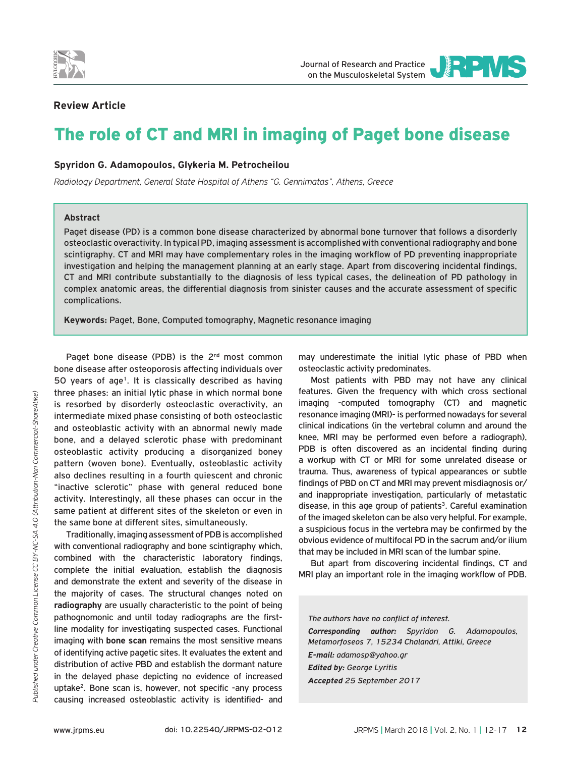



## **Review Article**

# The role of CT and MRI in imaging of Paget bone disease

#### **Spyridon G. Adamopoulos, Glykeria M. Petrocheilou**

*Radiology Department, General State Hospital of Athens "G. Gennimatas", Athens, Greece*

#### **Abstract**

Paget disease (PD) is a common bone disease characterized by abnormal bone turnover that follows a disorderly osteoclastic overactivity. In typical PD, imaging assessment is accomplished with conventional radiography and bone scintigraphy. CT and MRI may have complementary roles in the imaging workflow of PD preventing inappropriate investigation and helping the management planning at an early stage. Apart from discovering incidental findings, CT and MRI contribute substantially to the diagnosis of less typical cases, the delineation of PD pathology in complex anatomic areas, the differential diagnosis from sinister causes and the accurate assessment of specific complications.

**Keywords:** Paget, Bone, Computed tomography, Magnetic resonance imaging

Paget bone disease (PDB) is the 2<sup>nd</sup> most common bone disease after osteoporosis affecting individuals over 50 years of age1. It is classically described as having three phases: an initial lytic phase in which normal bone is resorbed by disorderly osteoclastic overactivity, an intermediate mixed phase consisting of both osteoclastic and osteoblastic activity with an abnormal newly made bone, and a delayed sclerotic phase with predominant osteoblastic activity producing a disorganized boney pattern (woven bone). Eventually, osteoblastic activity also declines resulting in a fourth quiescent and chronic "inactive sclerotic" phase with general reduced bone activity. Interestingly, all these phases can occur in the same patient at different sites of the skeleton or even in the same bone at different sites, simultaneously.

Traditionally, imaging assessment of PDB is accomplished with conventional radiography and bone scintigraphy which, combined with the characteristic laboratory findings, complete the initial evaluation, establish the diagnosis and demonstrate the extent and severity of the disease in the majority of cases. The structural changes noted on **radiography** are usually characteristic to the point of being pathognomonic and until today radiographs are the firstline modality for investigating suspected cases. Functional imaging with **bone scan** remains the most sensitive means of identifying active pagetic sites. It evaluates the extent and distribution of active PBD and establish the dormant nature in the delayed phase depicting no evidence of increased uptake<sup>2</sup>. Bone scan is, however, not specific -any process causing increased osteoblastic activity is identified- and may underestimate the initial lytic phase of PBD when osteoclastic activity predominates.

Most patients with PBD may not have any clinical features. Given the frequency with which cross sectional imaging -computed tomography (CT) and magnetic resonance imaging (MRI)- is performed nowadays for several clinical indications (in the vertebral column and around the knee, MRI may be performed even before a radiograph), PDB is often discovered as an incidental finding during a workup with CT or MRI for some unrelated disease or trauma. Thus, awareness of typical appearances or subtle findings of PBD on CT and MRI may prevent misdiagnosis or/ and inappropriate investigation, particularly of metastatic disease, in this age group of patients<sup>3</sup>. Careful examination of the imaged skeleton can be also very helpful. For example, a suspicious focus in the vertebra may be confirmed by the obvious evidence of multifocal PD in the sacrum and/or ilium that may be included in MRI scan of the lumbar spine.

But apart from discovering incidental findings, CT and MRI play an important role in the imaging workflow of PDB.

*The authors have no conflict of interest.*

*Corresponding author: Spyridon G. Adamopoulos, Metamorfoseos 7, 15234 Chalandri, Attiki, Greece E-mail: adamosp@yahoo.gr Edited by: George Lyritis Accepted 25 September 2017*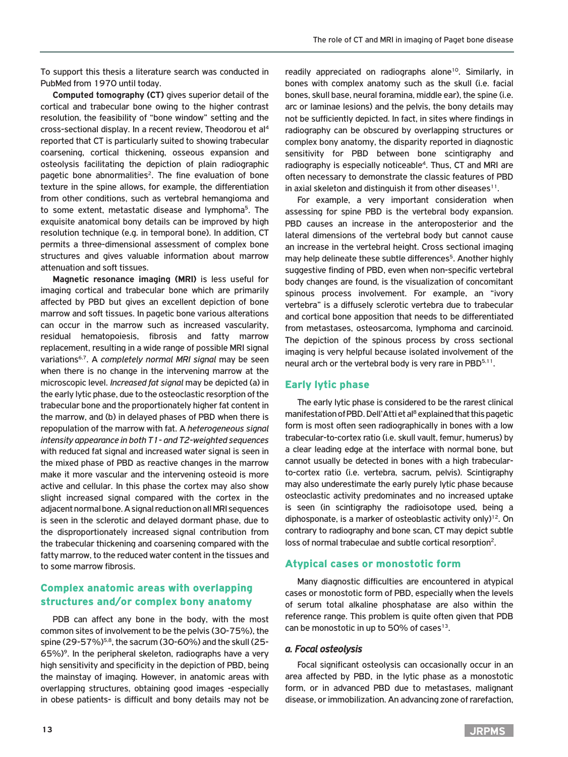To support this thesis a literature search was conducted in PubMed from 1970 until today.

**Computed tomography (CT)** gives superior detail of the cortical and trabecular bone owing to the higher contrast resolution, the feasibility of "bone window" setting and the cross-sectional display. In a recent review, Theodorou et al4 reported that CT is particularly suited to showing trabecular coarsening, cortical thickening, osseous expansion and osteolysis facilitating the depiction of plain radiographic pagetic bone abnormalities<sup>2</sup>. The fine evaluation of bone texture in the spine allows, for example, the differentiation from other conditions, such as vertebral hemangioma and to some extent, metastatic disease and lymphoma<sup>5</sup>. The exquisite anatomical bony details can be improved by high resolution technique (e.g. in temporal bone). In addition, CT permits a three-dimensional assessment of complex bone structures and gives valuable information about marrow attenuation and soft tissues.

**Magnetic resonance imaging (MRI)** is less useful for imaging cortical and trabecular bone which are primarily affected by PBD but gives an excellent depiction of bone marrow and soft tissues. In pagetic bone various alterations can occur in the marrow such as increased vascularity, residual hematopoiesis, fibrosis and fatty marrow replacement, resulting in a wide range of possible MRI signal variations6,7. A *completely normal MRI signal* may be seen when there is no change in the intervening marrow at the microscopic level. *Increased fat signal* may be depicted (a) in the early lytic phase, due to the osteoclastic resorption of the trabecular bone and the proportionately higher fat content in the marrow, and (b) in delayed phases of PBD when there is repopulation of the marrow with fat. A *heterogeneous signal intensity appearance in both T1- and T2-weighted sequences* with reduced fat signal and increased water signal is seen in the mixed phase of PBD as reactive changes in the marrow make it more vascular and the intervening osteoid is more active and cellular. In this phase the cortex may also show slight increased signal compared with the cortex in the adjacent normal bone. A signal reduction on all MRI sequences is seen in the sclerotic and delayed dormant phase, due to the disproportionately increased signal contribution from the trabecular thickening and coarsening compared with the fatty marrow, to the reduced water content in the tissues and to some marrow fibrosis.

## Complex anatomic areas with overlapping structures and/or complex bony anatomy

PDB can affect any bone in the body, with the most common sites of involvement to be the pelvis (30-75%), the spine (29-57%)<sup>5,8</sup>, the sacrum (30-60%) and the skull (25-65%)9. In the peripheral skeleton, radiographs have a very high sensitivity and specificity in the depiction of PBD, being the mainstay of imaging. However, in anatomic areas with overlapping structures, obtaining good images -especially in obese patients- is difficult and bony details may not be

readily appreciated on radiographs alone<sup>10</sup>. Similarly, in bones with complex anatomy such as the skull (i.e. facial bones, skull base, neural foramina, middle ear), the spine (i.e. arc or laminae lesions) and the pelvis, the bony details may not be sufficiently depicted. In fact, in sites where findings in radiography can be obscured by overlapping structures or complex bony anatomy, the disparity reported in diagnostic sensitivity for PBD between bone scintigraphy and radiography is especially noticeable<sup>4</sup>. Thus, CT and MRI are often necessary to demonstrate the classic features of PBD in axial skeleton and distinguish it from other diseases $11$ .

For example, a very important consideration when assessing for spine PBD is the vertebral body expansion. PBD causes an increase in the anteroposterior and the lateral dimensions of the vertebral body but cannot cause an increase in the vertebral height. Cross sectional imaging may help delineate these subtle differences<sup>5</sup>. Another highly suggestive finding of PBD, even when non-specific vertebral body changes are found, is the visualization of concomitant spinous process involvement. For example, an "ivory vertebra" is a diffusely sclerotic vertebra due to trabecular and cortical bone apposition that needs to be differentiated from metastases, osteosarcoma, lymphoma and carcinoid. The depiction of the spinous process by cross sectional imaging is very helpful because isolated involvement of the neural arch or the vertebral body is very rare in PBD<sup>5,11</sup>.

## Early lytic phase

The early lytic phase is considered to be the rarest clinical manifestation of PBD. Dell'Atti et al<sup>8</sup> explained that this pagetic form is most often seen radiographically in bones with a low trabecular-to-cortex ratio (i.e. skull vault, femur, humerus) by a clear leading edge at the interface with normal bone, but cannot usually be detected in bones with a high trabecularto-cortex ratio (i.e. vertebra, sacrum, pelvis). Scintigraphy may also underestimate the early purely lytic phase because osteoclastic activity predominates and no increased uptake is seen (in scintigraphy the radioisotope used, being a diphosponate, is a marker of osteoblastic activity only $12$ . On contrary to radiography and bone scan, CT may depict subtle loss of normal trabeculae and subtle cortical resorption2.

## Atypical cases or monostotic form

Many diagnostic difficulties are encountered in atypical cases or monostotic form of PBD, especially when the levels of serum total alkaline phosphatase are also within the reference range. This problem is quite often given that PDB can be monostotic in up to 50% of cases $13$ .

#### *a. Focal osteolysis*

Focal significant osteolysis can occasionally occur in an area affected by PBD, in the lytic phase as a monostotic form, or in advanced PBD due to metastases, malignant disease, or immobilization. An advancing zone of rarefaction,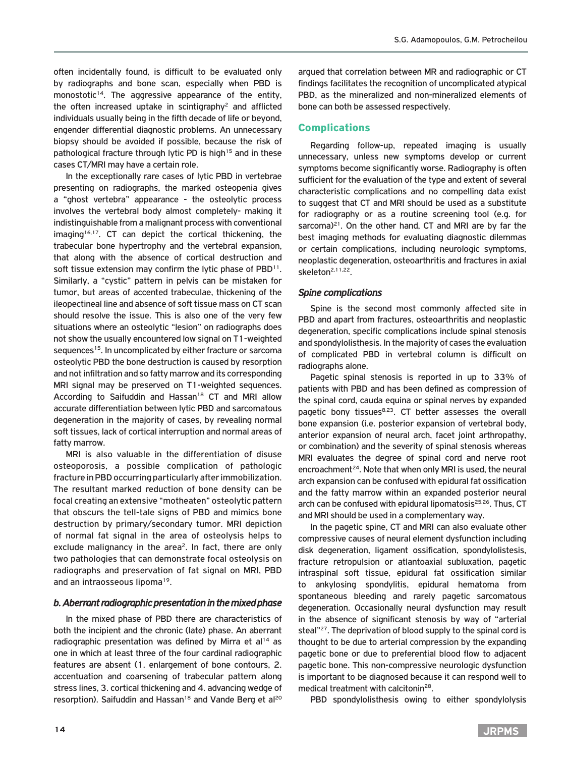often incidentally found, is difficult to be evaluated only by radiographs and bone scan, especially when PBD is monostotic<sup>14</sup>. The aggressive appearance of the entity, the often increased uptake in scintigraphy<sup>2</sup> and afflicted individuals usually being in the fifth decade of life or beyond, engender differential diagnostic problems. An unnecessary biopsy should be avoided if possible, because the risk of pathological fracture through lytic PD is high<sup>15</sup> and in these cases CT/MRI may have a certain role.

In the exceptionally rare cases of lytic PBD in vertebrae presenting on radiographs, the marked osteopenia gives a "ghost vertebra" appearance - the osteolytic process involves the vertebral body almost completely- making it indistinguishable from a malignant process with conventional imaging<sup>16,17</sup>. CT can depict the cortical thickening, the trabecular bone hypertrophy and the vertebral expansion, that along with the absence of cortical destruction and soft tissue extension may confirm the lytic phase of PBD<sup>11</sup>. Similarly, a "cystic" pattern in pelvis can be mistaken for tumor, but areas of accented trabeculae, thickening of the ileopectineal line and absence of soft tissue mass on CT scan should resolve the issue. This is also one of the very few situations where an osteolytic "lesion" on radiographs does not show the usually encountered low signal on T1-weighted sequences<sup>15</sup>. In uncomplicated by either fracture or sarcoma osteolytic PBD the bone destruction is caused by resorption and not infiltration and so fatty marrow and its corresponding MRI signal may be preserved on T1-weighted sequences. According to Saifuddin and Hassan<sup>18</sup> CT and MRI allow accurate differentiation between lytic PBD and sarcomatous degeneration in the majority of cases, by revealing normal soft tissues, lack of cortical interruption and normal areas of fatty marrow.

MRI is also valuable in the differentiation of disuse osteoporosis, a possible complication of pathologic fracture in PBD occurring particularly after immobilization. The resultant marked reduction of bone density can be focal creating an extensive "motheaten" osteolytic pattern that obscurs the tell-tale signs of PBD and mimics bone destruction by primary/secondary tumor. MRI depiction of normal fat signal in the area of osteolysis helps to exclude malignancy in the area<sup>2</sup>. In fact, there are only two pathologies that can demonstrate focal osteolysis on radiographs and preservation of fat signal on MRI, PBD and an intraosseous lipoma<sup>19</sup>.

#### *b. Aberrant radiographic presentation in the mixed phase*

In the mixed phase of PBD there are characteristics of both the incipient and the chronic (late) phase. An aberrant radiographic presentation was defined by Mirra et al<sup>14</sup> as one in which at least three of the four cardinal radiographic features are absent (1. enlargement of bone contours, 2. accentuation and coarsening of trabecular pattern along stress lines, 3. cortical thickening and 4. advancing wedge of resorption). Saifuddin and Hassan<sup>18</sup> and Vande Berg et al<sup>20</sup>

argued that correlation between MR and radiographic or CT findings facilitates the recognition of uncomplicated atypical PBD, as the mineralized and non-mineralized elements of bone can both be assessed respectively.

## Complications

Regarding follow-up, repeated imaging is usually unnecessary, unless new symptoms develop or current symptoms become significantly worse. Radiography is often sufficient for the evaluation of the type and extent of several characteristic complications and no compelling data exist to suggest that CT and MRI should be used as a substitute for radiography or as a routine screening tool (e.g. for sarcoma)<sup>21</sup>. On the other hand, CT and MRI are by far the best imaging methods for evaluating diagnostic dilemmas or certain complications, including neurologic symptoms, neoplastic degeneration, osteoarthritis and fractures in axial skeleton<sup>2,11,22</sup>.

## *Spine complications*

Spine is the second most commonly affected site in PBD and apart from fractures, osteoarthritis and neoplastic degeneration, specific complications include spinal stenosis and spondylolisthesis. In the majority of cases the evaluation of complicated PBD in vertebral column is difficult on radiographs alone.

Pagetic spinal stenosis is reported in up to 33% of patients with PBD and has been defined as compression of the spinal cord, cauda equina or spinal nerves by expanded pagetic bony tissues<sup>8,23</sup>. CT better assesses the overall bone expansion (i.e. posterior expansion of vertebral body, anterior expansion of neural arch, facet joint arthropathy, or combination) and the severity of spinal stenosis whereas MRI evaluates the degree of spinal cord and nerve root encroachment<sup>24</sup>. Note that when only MRI is used, the neural arch expansion can be confused with epidural fat ossification and the fatty marrow within an expanded posterior neural arch can be confused with epidural lipomatosis<sup>25,26</sup>. Thus, CT and MRI should be used in a complementary way.

In the pagetic spine, CT and MRI can also evaluate other compressive causes of neural element dysfunction including disk degeneration, ligament ossification, spondylolistesis, fracture retropulsion or atlantoaxial subluxation, pagetic intraspinal soft tissue, epidural fat ossification similar to ankylosing spondylitis, epidural hematoma from spontaneous bleeding and rarely pagetic sarcomatous degeneration. Occasionally neural dysfunction may result in the absence of significant stenosis by way of "arterial steal"<sup>27</sup>. The deprivation of blood supply to the spinal cord is thought to be due to arterial compression by the expanding pagetic bone or due to preferential blood flow to adjacent pagetic bone. This non-compressive neurologic dysfunction is important to be diagnosed because it can respond well to medical treatment with calcitonin28.

PBD spondylolisthesis owing to either spondylolysis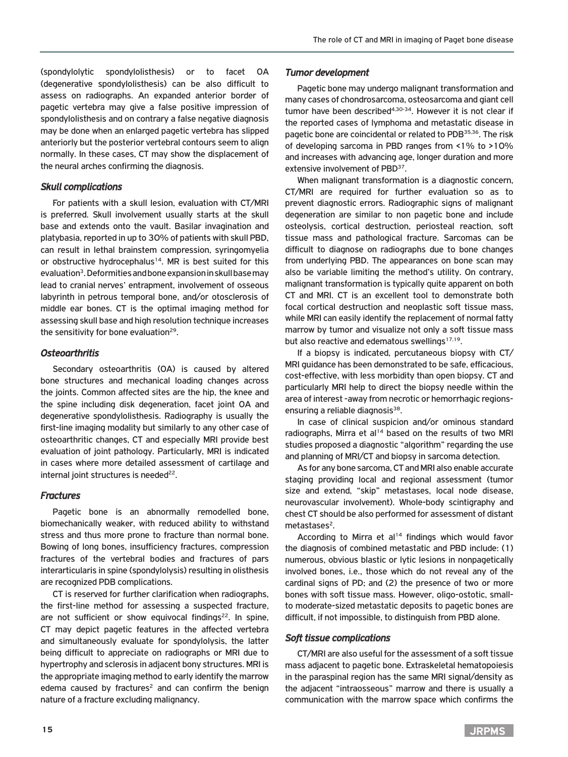(spondylolytic spondylolisthesis) or to facet OA (degenerative spondylolisthesis) can be also difficult to assess on radiographs. An expanded anterior border of pagetic vertebra may give a false positive impression of spondylolisthesis and on contrary a false negative diagnosis may be done when an enlarged pagetic vertebra has slipped anteriorly but the posterior vertebral contours seem to align normally. In these cases, CT may show the displacement of the neural arches confirming the diagnosis.

#### *Skull complications*

For patients with a skull lesion, evaluation with CT/MRI is preferred. Skull involvement usually starts at the skull base and extends onto the vault. Basilar invagination and platybasia, reported in up to 30% of patients with skull PBD, can result in lethal brainstem compression, syringomyelia or obstructive hydrocephalus<sup>14</sup>. MR is best suited for this evaluation<sup>3</sup>. Deformities and bone expansion in skull base may lead to cranial nerves' entrapment, involvement of osseous labyrinth in petrous temporal bone, and/or otosclerosis of middle ear bones. CT is the optimal imaging method for assessing skull base and high resolution technique increases the sensitivity for bone evaluation<sup>29</sup>.

#### *Osteoarthritis*

Secondary osteoarthritis (OA) is caused by altered bone structures and mechanical loading changes across the joints. Common affected sites are the hip, the knee and the spine including disk degeneration, facet joint OA and degenerative spondylolisthesis. Radiography is usually the first-line imaging modality but similarly to any other case of osteoarthritic changes, CT and especially MRI provide best evaluation of joint pathology. Particularly, MRI is indicated in cases where more detailed assessment of cartilage and internal joint structures is needed $^{22}$ .

#### *Fractures*

Pagetic bone is an abnormally remodelled bone, biomechanically weaker, with reduced ability to withstand stress and thus more prone to fracture than normal bone. Bowing of long bones, insufficiency fractures, compression fractures of the vertebral bodies and fractures of pars interarticularis in spine (spondylolysis) resulting in olisthesis are recognized PDB complications.

CT is reserved for further clarification when radiographs, the first-line method for assessing a suspected fracture, are not sufficient or show equivocal findings $^{22}$ . In spine, CT may depict pagetic features in the affected vertebra and simultaneously evaluate for spondylolysis, the latter being difficult to appreciate on radiographs or MRI due to hypertrophy and sclerosis in adjacent bony structures. MRI is the appropriate imaging method to early identify the marrow edema caused by fractures<sup>2</sup> and can confirm the benign nature of a fracture excluding malignancy.

#### *Tumor development*

Pagetic bone may undergo malignant transformation and many cases of chondrosarcoma, osteosarcoma and giant cell tumor have been described $4,30-34$ . However it is not clear if the reported cases of lymphoma and metastatic disease in pagetic bone are coincidental or related to PDB<sup>35,36</sup>. The risk of developing sarcoma in PBD ranges from <1% to >10% and increases with advancing age, longer duration and more extensive involvement of PBD<sup>37</sup>.

When malignant transformation is a diagnostic concern, CT/MRI are required for further evaluation so as to prevent diagnostic errors. Radiographic signs of malignant degeneration are similar to non pagetic bone and include osteolysis, cortical destruction, periosteal reaction, soft tissue mass and pathological fracture. Sarcomas can be difficult to diagnose on radiographs due to bone changes from underlying PBD. The appearances on bone scan may also be variable limiting the method's utility. On contrary, malignant transformation is typically quite apparent on both CT and MRI. CT is an excellent tool to demonstrate both focal cortical destruction and neoplastic soft tissue mass, while MRI can easily identify the replacement of normal fatty marrow by tumor and visualize not only a soft tissue mass but also reactive and edematous swellings $17,19$ .

If a biopsy is indicated, percutaneous biopsy with CT/ MRI guidance has been demonstrated to be safe, efficacious, cost-effective, with less morbidity than open biopsy. CT and particularly MRI help to direct the biopsy needle within the area of interest -away from necrotic or hemorrhagic regionsensuring a reliable diagnosis<sup>38</sup>.

In case of clinical suspicion and/or ominous standard radiographs, Mirra et al<sup>14</sup> based on the results of two MRI studies proposed a diagnostic "algorithm" regarding the use and planning of MRI/CT and biopsy in sarcoma detection.

As for any bone sarcoma, CT and MRI also enable accurate staging providing local and regional assessment (tumor size and extend, "skip" metastases, local node disease, neurovascular involvement). Whole-body scintigraphy and chest CT should be also performed for assessment of distant metastases $2$ .

According to Mirra et al<sup>14</sup> findings which would favor the diagnosis of combined metastatic and PBD include: (1) numerous, obvious blastic or lytic lesions in nonpagetically involved bones, i.e., those which do not reveal any of the cardinal signs of PD; and (2) the presence of two or more bones with soft tissue mass. However, oligo-ostotic, smallto moderate-sized metastatic deposits to pagetic bones are difficult, if not impossible, to distinguish from PBD alone.

#### *Soft tissue complications*

CT/MRI are also useful for the assessment of a soft tissue mass adjacent to pagetic bone. Extraskeletal hematopoiesis in the paraspinal region has the same MRI signal/density as the adjacent "intraosseous" marrow and there is usually a communication with the marrow space which confirms the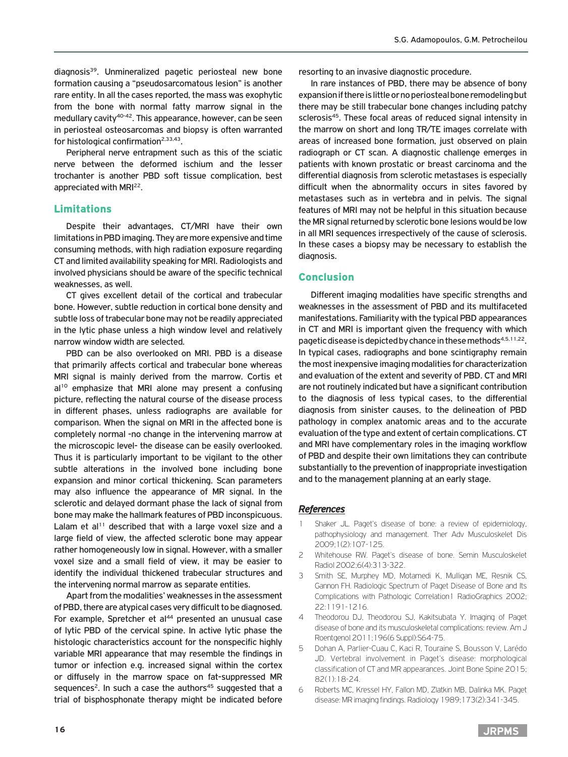diagnosis39. Unmineralized pagetic periosteal new bone formation causing a "pseudosarcomatous lesion" is another rare entity. In all the cases reported, the mass was exophytic from the bone with normal fatty marrow signal in the medullary cavity<sup>40-42</sup>. This appearance, however, can be seen in periosteal osteosarcomas and biopsy is often warranted for histological confirmation<sup>2,33,43</sup>.

Peripheral nerve entrapment such as this of the sciatic nerve between the deformed ischium and the lesser trochanter is another PBD soft tissue complication, best appreciated with MRI<sup>22</sup>.

#### Limitations

Despite their advantages, CT/MRI have their own limitations in PBD imaging. They are more expensive and time consuming methods, with high radiation exposure regarding CT and limited availability speaking for MRI. Radiologists and involved physicians should be aware of the specific technical weaknesses, as well.

CT gives excellent detail of the cortical and trabecular bone. However, subtle reduction in cortical bone density and subtle loss of trabecular bone may not be readily appreciated in the lytic phase unless a high window level and relatively narrow window width are selected.

PBD can be also overlooked on MRI. PBD is a disease that primarily affects cortical and trabecular bone whereas MRI signal is mainly derived from the marrow. Cortis et  $al^{10}$  emphasize that MRI alone may present a confusing picture, reflecting the natural course of the disease process in different phases, unless radiographs are available for comparison. When the signal on MRI in the affected bone is completely normal -no change in the intervening marrow at the microscopic level- the disease can be easily overlooked. Thus it is particularly important to be vigilant to the other subtle alterations in the involved bone including bone expansion and minor cortical thickening. Scan parameters may also influence the appearance of MR signal. In the sclerotic and delayed dormant phase the lack of signal from bone may make the hallmark features of PBD inconspicuous. Lalam et al<sup>11</sup> described that with a large voxel size and a large field of view, the affected sclerotic bone may appear rather homogeneously low in signal. However, with a smaller voxel size and a small field of view, it may be easier to identify the individual thickened trabecular structures and the intervening normal marrow as separate entities.

Apart from the modalities' weaknesses in the assessment of PBD, there are atypical cases very difficult to be diagnosed. For example, Spretcher et al<sup>44</sup> presented an unusual case of lytic PBD of the cervical spine. In active lytic phase the histologic characteristics account for the nonspecific highly variable MRI appearance that may resemble the findings in tumor or infection e.g. increased signal within the cortex or diffusely in the marrow space on fat-suppressed MR sequences<sup>2</sup>. In such a case the authors<sup>45</sup> suggested that a trial of bisphosphonate therapy might be indicated before

resorting to an invasive diagnostic procedure.

In rare instances of PBD, there may be absence of bony expansion if there is little or no periosteal bone remodeling but there may be still trabecular bone changes including patchy sclerosis<sup>45</sup>. These focal areas of reduced signal intensity in the marrow on short and long TR/TE images correlate with areas of increased bone formation, just observed on plain radiograph or CT scan. A diagnostic challenge emerges in patients with known prostatic or breast carcinoma and the differential diagnosis from sclerotic metastases is especially difficult when the abnormality occurs in sites favored by metastases such as in vertebra and in pelvis. The signal features of MRI may not be helpful in this situation because the MR signal returned by sclerotic bone lesions would be low in all MRI sequences irrespectively of the cause of sclerosis. In these cases a biopsy may be necessary to establish the diagnosis.

#### Conclusion

Different imaging modalities have specific strengths and weaknesses in the assessment of PBD and its multifaceted manifestations. Familiarity with the typical PBD appearances in CT and MRI is important given the frequency with which pagetic disease is depicted by chance in these methods<sup>4,5,11,22</sup>. In typical cases, radiographs and bone scintigraphy remain the most inexpensive imaging modalities for characterization and evaluation of the extent and severity of PBD. CT and MRI are not routinely indicated but have a significant contribution to the diagnosis of less typical cases, to the differential diagnosis from sinister causes, to the delineation of PBD pathology in complex anatomic areas and to the accurate evaluation of the type and extent of certain complications. CT and MRI have complementary roles in the imaging workflow of PBD and despite their own limitations they can contribute substantially to the prevention of inappropriate investigation and to the management planning at an early stage.

#### *References*

- Shaker JL. Paget's disease of bone: a review of epidemiology, pathophysiology and management. Ther Adv Musculoskelet Dis 2009;1(2):107-125.
- 2 Whitehouse RW. Paget's disease of bone. Semin Musculoskelet Radiol 2002;6(4):313-322.
- 3 Smith SE, Murphey MD, Motamedi K, Mulligan ME, Resnik CS, Gannon FH. Radiologic Spectrum of Paget Disease of Bone and Its Complications with Pathologic Correlation1 RadioGraphics 2002; 22:1191-1216.
- 4 Theodorou DJ, Theodorou SJ, Kakitsubata Y. Imaging of Paget disease of bone and its musculoskeletal complications: review. Am J Roentgenol 2011;196(6 Suppl):S64-75.
- 5 Dohan A, Parlier-Cuau C, Kaci R, Touraine S, Bousson V, Larédo JD. Vertebral involvement in Paget's disease: morphological classification of CT and MR appearances. Joint Bone Spine 2015; 82(1):18-24.
- 6 Roberts MC, Kressel HY, Fallon MD, Zlatkin MB, Dalinka MK. Paget disease: MR imaging findings. Radiology 1989;173(2):341-345.